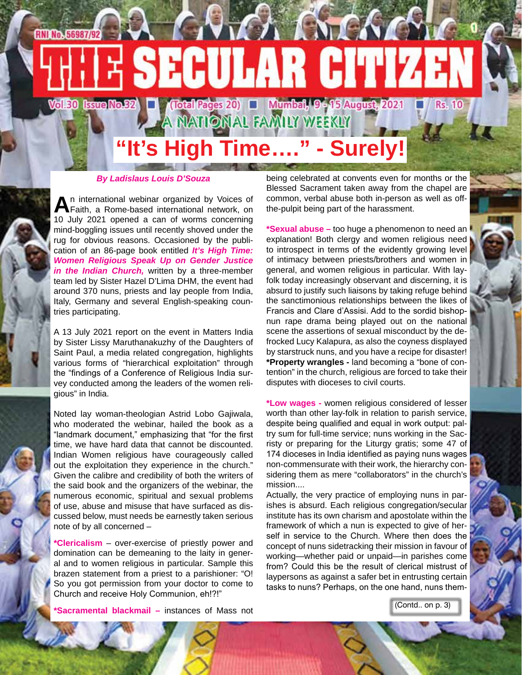# LALA **RNI No. 56987/92** SECULAR CITIZE **(Total Pages 20) | Mumbal, 9-15 August, 2021<br>A NIATIONAL FAMILY WEEKLY Vol.30 Issue No.32 Rs. 10**

# **"It's High Time…." - Surely!**

#### *By Ladislaus Louis D'Souza*

**A**n international webinar organized by Voices of<br>Faith, a Rome-based international network, on 10 July 2021 opened a can of worms concerning mind-boggling issues until recently shoved under the rug for obvious reasons. Occasioned by the publication of an 86-page book entitled *It's High Time: Women Religious Speak Up on Gender Justice in the Indian Church,* written by a three-member team led by Sister Hazel D'Lima DHM, the event had around 370 nuns, priests and lay people from India, Italy, Germany and several English-speaking countries participating.

A 13 July 2021 report on the event in Matters India by Sister Lissy Maruthanakuzhy of the Daughters of Saint Paul, a media related congregation, highlights various forms of "hierarchical exploitation" through the "findings of a Conference of Religious India survey conducted among the leaders of the women religious" in India.

Noted lay woman-theologian Astrid Lobo Gajiwala, who moderated the webinar, hailed the book as a "landmark document," emphasizing that "for the first time, we have hard data that cannot be discounted. Indian Women religious have courageously called out the exploitation they experience in the church." Given the calibre and credibility of both the writers of the said book and the organizers of the webinar, the numerous economic, spiritual and sexual problems of use, abuse and misuse that have surfaced as discussed below, must needs be earnestly taken serious note of by all concerned –

**\*Clericalism** – over-exercise of priestly power and domination can be demeaning to the laity in general and to women religious in particular. Sample this brazen statement from a priest to a parishioner: "O! So you got permission from your doctor to come to Church and receive Holy Communion, eh!?!"

being celebrated at convents even for months or the Blessed Sacrament taken away from the chapel are common, verbal abuse both in-person as well as offthe-pulpit being part of the harassment.

**\*Sexual abuse –** too huge a phenomenon to need an explanation! Both clergy and women religious need to introspect in terms of the evidently growing level of intimacy between priests/brothers and women in general, and women religious in particular. With layfolk today increasingly observant and discerning, it is absurd to justify such liaisons by taking refuge behind the sanctimonious relationships between the likes of Francis and Clare d'Assisi. Add to the sordid bishopnun rape drama being played out on the national scene the assertions of sexual misconduct by the defrocked Lucy Kalapura, as also the coyness displayed by starstruck nuns, and you have a recipe for disaster! **\*Property wrangles -** land becoming a "bone of contention" in the church, religious are forced to take their disputes with dioceses to civil courts.

**\*Low wages -** women religious considered of lesser worth than other lay-folk in relation to parish service, despite being qualified and equal in work output: paltry sum for full-time service; nuns working in the Sacristy or preparing for the Liturgy gratis; some 47 of 174 dioceses in India identified as paying nuns wages non-commensurate with their work, the hierarchy considering them as mere "collaborators" in the church's mission....

Actually, the very practice of employing nuns in parishes is absurd. Each religious congregation/secular institute has its own charism and apostolate within the framework of which a nun is expected to give of herself in service to the Church. Where then does the concept of nuns sidetracking their mission in favour of working—whether paid or unpaid—in parishes come from? Could this be the result of clerical mistrust of laypersons as against a safer bet in entrusting certain tasks to nuns? Perhaps, on the one hand, nuns them-

**Sacramental blackmail –** instances of Mass not

(Contd.. on p. 3)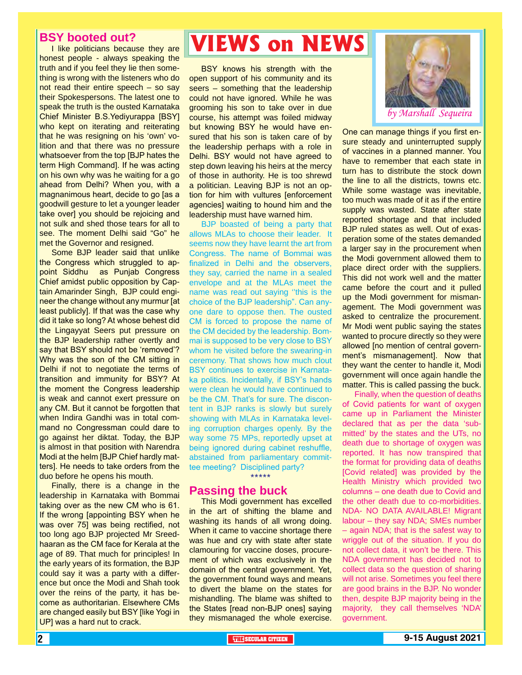#### **BSY booted out?**

I like politicians because they are honest people - always speaking the truth and if you feel they lie then something is wrong with the listeners who do not read their entire speech – so say their Spokespersons. The latest one to speak the truth is the ousted Karnataka Chief Minister B.S.Yediyurappa [BSY] who kept on iterating and reiterating that he was resigning on his 'own' volition and that there was no pressure whatsoever from the top [BJP hates the term High Command]. If he was acting on his own why was he waiting for a go ahead from Delhi? When you, with a magnanimous heart, decide to go [as a goodwill gesture to let a younger leader take over] you should be rejoicing and not sulk and shed those tears for all to see. The moment Delhi said "Go" he met the Governor and resigned.

Some BJP leader said that unlike the Congress which struggled to appoint Siddhu as Punjab Congress Chief amidst public opposition by Captain Amarinder Singh, BJP could engineer the change without any murmur [at least publicly]. If that was the case why did it take so long? At whose behest did the Lingayyat Seers put pressure on the BJP leadership rather overtly and say that BSY should not be 'removed'? Why was the son of the CM sitting in Delhi if not to negotiate the terms of transition and immunity for BSY? At the moment the Congress leadership is weak and cannot exert pressure on any CM. But it cannot be forgotten that when Indira Gandhi was in total command no Congressman could dare to go against her diktat. Today, the BJP is almost in that position with Narendra Modi at the helm [BJP Chief hardly matters]. He needs to take orders from the duo before he opens his mouth.

Finally, there is a change in the leadership in Karnataka with Bommai taking over as the new CM who is 61. If the wrong [appointing BSY when he was over 75] was being rectified, not too long ago BJP projected Mr Sreedhaaran as the CM face for Kerala at the age of 89. That much for principles! In the early years of its formation, the BJP could say it was a party with a difference but once the Modi and Shah took over the reins of the party, it has become as authoritarian. Elsewhere CMs are changed easily but BSY [like Yogi in UP] was a hard nut to crack.

# **VIEWS on NEWS**

BSY knows his strength with the open support of his community and its seers - something that the leadership could not have ignored. While he was grooming his son to take over in due course, his attempt was foiled midway but knowing BSY he would have ensured that his son is taken care of by the leadership perhaps with a role in Delhi. BSY would not have agreed to step down leaving his heirs at the mercy of those in authority. He is too shrewd a politician. Leaving BJP is not an option for him with vultures [enforcement agencies] waiting to hound him and the leadership must have warned him.

BJP boasted of being a party that allows MLAs to choose their leader. It seems now they have learnt the art from Congress. The name of Bommai was finalized in Delhi and the observers, they say, carried the name in a sealed envelope and at the MLAs meet the name was read out saying ''this is the choice of the BJP leadership". Can anyone dare to oppose then. The ousted CM is forced to propose the name of the CM decided by the leadership. Bommai is supposed to be very close to BSY whom he visited before the swearing-in ceremony. That shows how much clout BSY continues to exercise in Karnataka politics. Incidentally, if BSY's hands were clean he would have continued to be the CM. That's for sure. The discontent in BJP ranks is slowly but surely showing with MLAs in Karnataka leveling corruption charges openly. By the way some 75 MPs, reportedly upset at being ignored during cabinet reshuffle, abstained from parliamentary committee meeting? Disciplined party? \*\*\*\*\*

#### **Passing the buck**

This Modi government has excelled in the art of shifting the blame and washing its hands of all wrong doing. When it came to vaccine shortage there was hue and cry with state after state clamouring for vaccine doses, procurement of which was exclusively in the domain of the central government. Yet, the government found ways and means to divert the blame on the states for mishandling. The blame was shifted to the States [read non-BJP ones] saying they mismanaged the whole exercise.



One can manage things if you first ensure steady and uninterrupted supply of vaccines in a planned manner. You have to remember that each state in turn has to distribute the stock down the line to all the districts, towns etc. While some wastage was inevitable, too much was made of it as if the entire supply was wasted. State after state reported shortage and that included BJP ruled states as well. Out of exasperation some of the states demanded a larger say in the procurement when the Modi government allowed them to place direct order with the suppliers. This did not work well and the matter came before the court and it pulled up the Modi government for mismanagement. The Modi government was asked to centralize the procurement. Mr Modi went public saying the states wanted to procure directly so they were allowed [no mention of central government's mismanagement]. Now that they want the center to handle it, Modi government will once again handle the matter. This is called passing the buck.

Finally, when the question of deaths of Covid patients for want of oxygen came up in Parliament the Minister declared that as per the data 'submitted' by the states and the UTs, no death due to shortage of oxygen was reported. It has now transpired that the format for providing data of deaths [Covid related] was provided by the Health Ministry which provided two columns – one death due to Covid and the other death due to co-morbidities. NDA- NO DATA AVAILABLE! Migrant labour – they say NDA; SMEs number – again NDA; that is the safest way to wriggle out of the situation. If you do not collect data, it won't be there. This NDA government has decided not to collect data so the question of sharing will not arise. Sometimes you feel there are good brains in the BJP. No wonder then, despite BJP majority being in the majority, they call themselves 'NDA' government.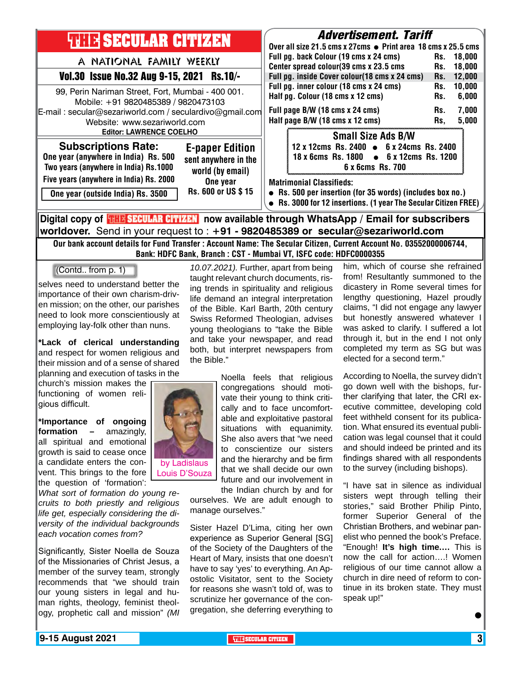| Full pg. back Colour (19 cms x 24 cms)<br>Center spread colour(39 cms x 23.5 cms<br>Full pg. inside Cover colour(18 cms x 24 cms)<br>Full pg. inner colour (18 cms x 24 cms)<br>Half pg. Colour (18 cms x 12 cms)<br>Full page B/W (18 cms x 24 cms)<br>Half page B/W (18 cms x 12 cms) | Rs.<br>Rs.<br>Rs.<br>Rs.<br>Rs.<br>Rs.<br>Rs,                                                                                             | 18.000<br>18,000<br>12,000<br>10,000<br>6,000<br>7,000<br>5,000                                                              |
|-----------------------------------------------------------------------------------------------------------------------------------------------------------------------------------------------------------------------------------------------------------------------------------------|-------------------------------------------------------------------------------------------------------------------------------------------|------------------------------------------------------------------------------------------------------------------------------|
|                                                                                                                                                                                                                                                                                         |                                                                                                                                           |                                                                                                                              |
|                                                                                                                                                                                                                                                                                         |                                                                                                                                           |                                                                                                                              |
| <b>Small Size Ads B/W</b><br>12 x 12cms Rs. 2400 • 6 x 24cms Rs. 2400<br>18 x 6cms Rs. 1800 • 6 x 12cms Rs. 1200<br>6 x 6cms Rs. 700                                                                                                                                                    |                                                                                                                                           |                                                                                                                              |
|                                                                                                                                                                                                                                                                                         |                                                                                                                                           |                                                                                                                              |
|                                                                                                                                                                                                                                                                                         | <b>Matrimonial Classifieds:</b><br> Digital copy of <mark>珊瞎SECULAR CITIZEN</mark> now available through WhatsApp / Email for subscribers | • Rs. 500 per insertion (for 35 words) (includes box no.)<br>• Rs. 3000 for 12 insertions. (1 year The Secular Citizen FREE) |

**worldover.** Send in your request to : **+91 - 9820485389 or secular@sezariworld.com** Our bank account details for Fund Transfer : Account Name: The Secular Citizen, Current Account No. 03552000006744,

Bank: HDFC Bank, Branch : CST - Mumbai VT, ISFC code: HDFC0000355

(Contd.. from p. 1)

selves need to understand better the importance of their own charism-driven mission; on the other, our parishes need to look more conscientiously at employing lay-folk other than nuns.

**\*Lack of clerical understanding** and respect for women religious and their mission and of a sense of shared planning and execution of tasks in the

church's mission makes the functioning of women religious difficult.

**\*Importance of ongoing formation –** amazingly, all spiritual and emotional growth is said to cease once a candidate enters the convent. This brings to the fore the question of 'formation':

*What sort of formation do young recruits to both priestly and religious life get, especially considering the diversity of the individual backgrounds each vocation comes from?* 

Significantly, Sister Noella de Souza of the Missionaries of Christ Jesus, a member of the survey team, strongly recommends that "we should train our young sisters in legal and human rights, theology, feminist theology, prophetic call and mission" *(MI* 

*10.07.2021).* Further, apart from being taught relevant church documents, rising trends in spirituality and religious life demand an integral interpretation of the Bible. Karl Barth, 20th century Swiss Reformed Theologian, advises young theologians to "take the Bible and take your newspaper, and read both, but interpret newspapers from the Bible."

> Noella feels that religious congregations should motivate their young to think critically and to face uncomfortable and exploitative pastoral situations with equanimity. She also avers that "we need to conscientize our sisters and the hierarchy and be firm that we shall decide our own future and our involvement in

the Indian church by and for ourselves. We are adult enough to manage ourselves."

Sister Hazel D'Lima, citing her own experience as Superior General [SG] of the Society of the Daughters of the Heart of Mary, insists that one doesn't have to say 'yes' to everything. An Apostolic Visitator, sent to the Society for reasons she wasn't told of, was to scrutinize her governance of the congregation, she deferring everything to him, which of course she refrained from! Resultantly summoned to the dicastery in Rome several times for lengthy questioning, Hazel proudly claims, "I did not engage any lawyer but honestly answered whatever I was asked to clarify. I suffered a lot through it, but in the end I not only completed my term as SG but was elected for a second term."

According to Noella, the survey didn't go down well with the bishops, further clarifying that later, the CRI executive committee, developing cold feet withheld consent for its publication. What ensured its eventual publication was legal counsel that it could and should indeed be printed and its findings shared with all respondents to the survey (including bishops).

"I have sat in silence as individual sisters wept through telling their stories," said Brother Philip Pinto, former Superior General of the Christian Brothers, and webinar panelist who penned the book's Preface. "Enough! **It's high time.…** This is now the call for action….! Women religious of our time cannot allow a church in dire need of reform to continue in its broken state. They must speak up!"



 $\bullet$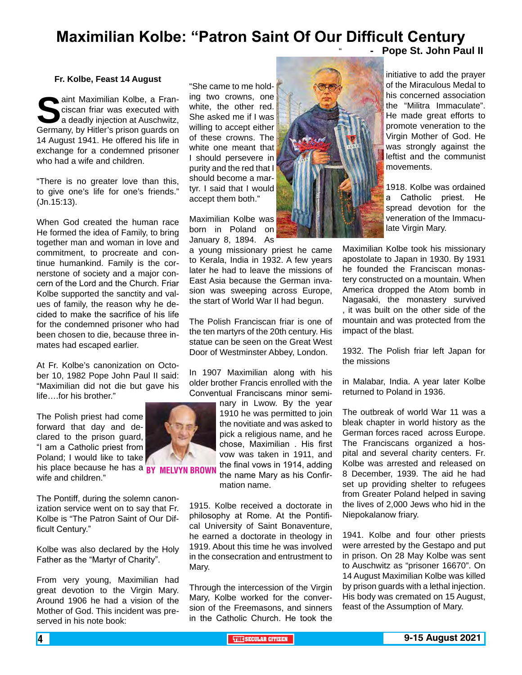### **Maximilian Kolbe: "Patron Saint Of Our Difficult Century**

#### **Fr. Kolbe, Feast 14 August**

**Saint Maximilian Kolbe, a Fran**ciscan friar was executed with a deadly injection at Auschwitz, Germany, by Hitler's prison guards on 14 August 1941. He offered his life in exchange for a condemned prisoner who had a wife and children

"There is no greater love than this, to give one's life for one's friends." (Jn.15:13).

When God created the human race He formed the idea of Family, to bring together man and woman in love and commitment, to procreate and continue humankind. Family is the cornerstone of society and a major concern of the Lord and the Church. Friar Kolbe supported the sanctity and values of family, the reason why he decided to make the sacrifice of his life for the condemned prisoner who had been chosen to die, because three inmates had escaped earlier.

At Fr. Kolbe's canonization on October 10, 1982 Pope John Paul II said: "Maximilian did not die but gave his life for his brother."

The Polish priest had come forward that day and declared to the prison guard, "I am a Catholic priest from Poland; I would like to take

his place because he has a BY MELVYN BR wife and children."

The Pontiff, during the solemn canonization service went on to say that Fr. Kolbe is "The Patron Saint of Our Difficult Century."

Kolbe was also declared by the Holy Father as the "Martyr of Charity".

From very young, Maximilian had great devotion to the Virgin Mary. Around 1906 he had a vision of the Mother of God. This incident was preserved in his note book:

"She came to me holding two crowns, one white, the other red. She asked me if I was willing to accept either of these crowns. The white one meant that I should persevere in purity and the red that I should become a martyr. I said that I would accept them both."

Maximilian Kolbe was born in Poland on January 8, 1894. As

a young missionary priest he came to Kerala, India in 1932. A few years later he had to leave the missions of East Asia because the German invasion was sweeping across Europe, the start of World War II had begun.

The Polish Franciscan friar is one of the ten martyrs of the 20th century. His statue can be seen on the Great West Door of Westminster Abbey, London.

In 1907 Maximilian along with his older brother Francis enrolled with the Conventual Franciscans minor semi-

nary in Lwow. By the year 1910 he was permitted to join the novitiate and was asked to pick a religious name, and he chose, Maximilian . His first vow was taken in 1911, and the final vows in 1914, adding the name Mary as his Confirmation name.

1915. Kolbe received a doctorate in philosophy at Rome. At the Pontifical University of Saint Bonaventure, he earned a doctorate in theology in 1919. About this time he was involved in the consecration and entrustment to Mary.

Through the intercession of the Virgin Mary, Kolbe worked for the conversion of the Freemasons, and sinners in the Catholic Church. He took the



- Pope St. John Paul II

initiative to add the prayer of the Miraculous Medal to his concerned association the "Militra Immaculate". He made great efforts to promote veneration to the Virgin Mother of God. He was strongly against the leftist and the communist movements.

1918. Kolbe was ordained a Catholic priest. He spread devotion for the veneration of the Immaculate Virgin Mary.

Maximilian Kolbe took his missionary apostolate to Japan in 1930. By 1931 he founded the Franciscan monastery constructed on a mountain. When America dropped the Atom bomb in Nagasaki, the monastery survived , it was built on the other side of the mountain and was protected from the impact of the blast.

1932. The Polish friar left Japan for the missions

in Malabar, India. A year later Kolbe returned to Poland in 1936.

The outbreak of world War 11 was a bleak chapter in world history as the German forces raced across Europe. The Franciscans organized a hospital and several charity centers. Fr. Kolbe was arrested and released on 8 December, 1939. The aid he had set up providing shelter to refugees from Greater Poland helped in saving the lives of 2,000 Jews who hid in the Niepokalanow friary.

1941. Kolbe and four other priests were arrested by the Gestapo and put in prison. On 28 May Kolbe was sent to Auschwitz as "prisoner 16670". On 14 August Maximilian Kolbe was killed by prison guards with a lethal injection. His body was cremated on 15 August, feast of the Assumption of Mary.

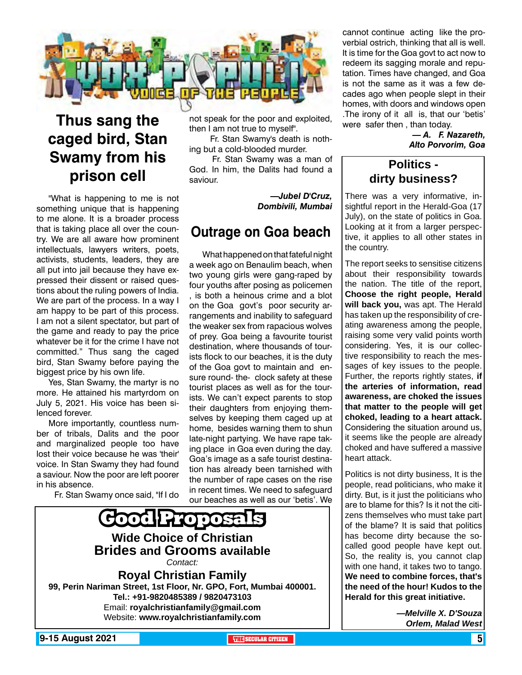

### **Thus sang the caged bird, Stan Swamy from his prison cell**

"What is happening to me is not something unique that is happening to me alone. It is a broader process that is taking place all over the country. We are all aware how prominent intellectuals, lawyers writers, poets, activists, students, leaders, they are all put into jail because they have expressed their dissent or raised questions about the ruling powers of India. We are part of the process. In a way I am happy to be part of this process. I am not a silent spectator, but part of the game and ready to pay the price whatever be it for the crime I have not committed." Thus sang the caged bird, Stan Swamy before paying the biggest price by his own life.

Yes, Stan Swamy, the martyr is no more. He attained his martyrdom on July 5, 2021. His voice has been silenced forever.

More importantly, countless number of tribals, Dalits and the poor and marginalized people too have lost their voice because he was 'their' voice. In Stan Swamy they had found a saviour. Now the poor are left poorer in his absence.

Fr. Stan Swamy once said, "If I do

not speak for the poor and exploited, then I am not true to myself".

 Fr. Stan Swamy's death is nothing but a cold-blooded murder.

 Fr. Stan Swamy was a man of God. In him, the Dalits had found a saviour.

> *—Jubel D'Cruz, Dombivili, Mumbai*

### **Outrage on Goa beach**

 What happened on that fateful night a week ago on Benaulim beach, when two young girls were gang-raped by four youths after posing as policemen , is both a heinous crime and a blot on the Goa govt's poor security arrangements and inability to safeguard the weaker sex from rapacious wolves of prey. Goa being a favourite tourist destination, where thousands of tourists flock to our beaches, it is the duty of the Goa govt to maintain and ensure round- the- clock safety at these tourist places as well as for the tourists. We can't expect parents to stop their daughters from enjoying themselves by keeping them caged up at home, besides warning them to shun late-night partying. We have rape taking place in Goa even during the day. Goa's image as a safe tourist destination has already been tarnished with the number of rape cases on the rise in recent times. We need to safeguard our beaches as well as our 'betis'. We



cannot continue acting like the proverbial ostrich, thinking that all is well. It is time for the Goa govt to act now to redeem its sagging morale and reputation. Times have changed, and Goa is not the same as it was a few decades ago when people slept in their homes, with doors and windows open .The irony of it all is, that our 'betis' were safer then , than today.

> *— A. F. Nazareth, Alto Porvorim, Goa*

### **Politics dirty business?**

There was a very informative, insightful report in the Herald-Goa (17 July), on the state of politics in Goa. Looking at it from a larger perspective, it applies to all other states in the country.

The report seeks to sensitise citizens about their responsibility towards the nation. The title of the report, **Choose the right people, Herald will back you,** was apt. The Herald has taken up the responsibility of creating awareness among the people, raising some very valid points worth considering. Yes, it is our collective responsibility to reach the messages of key issues to the people. Further, the reports rightly states, **if the arteries of information, read awareness, are choked the issues that matter to the people will get choked, leading to a heart attack.** Considering the situation around us, it seems like the people are already choked and have suffered a massive heart attack.

Politics is not dirty business, It is the people, read politicians, who make it dirty. But, is it just the politicians who are to blame for this? Is it not the citizens themselves who must take part of the blame? It is said that politics has become dirty because the socalled good people have kept out. So, the reality is, you cannot clap with one hand, it takes two to tango. **We need to combine forces, that's the need of the hour! Kudos to the Herald for this great initiative.**

> *—Melville X. D'Souza Orlem, Malad West*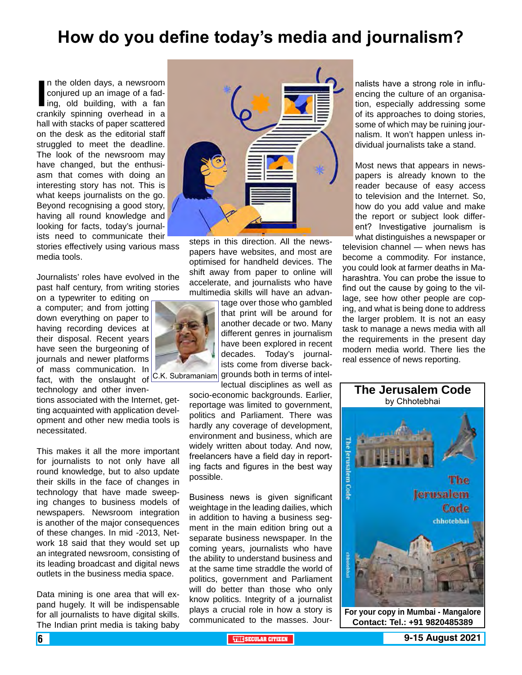## **How do you define today's media and journalism?**

**I**<br>**I**<br>Cra n the olden days, a newsroom conjured up an image of a fading, old building, with a fan crankily spinning overhead in a hall with stacks of paper scattered on the desk as the editorial staff struggled to meet the deadline. The look of the newsroom may have changed, but the enthusiasm that comes with doing an interesting story has not. This is what keeps journalists on the go. Beyond recognising a good story, having all round knowledge and looking for facts, today's journalists need to communicate their stories effectively using various mass

media tools.

Journalists' roles have evolved in the past half century, from writing stories

on a typewriter to editing on a computer; and from jotting down everything on paper to having recording devices at their disposal. Recent years have seen the burgeoning of journals and newer platforms of mass communication. In

technology and other inventions associated with the Internet, getting acquainted with application development and other new media tools is necessitated.

This makes it all the more important for journalists to not only have all round knowledge, but to also update their skills in the face of changes in technology that have made sweeping changes to business models of newspapers. Newsroom integration is another of the major consequences of these changes. In mid -2013, Network 18 said that they would set up an integrated newsroom, consisting of its leading broadcast and digital news outlets in the business media space.

Data mining is one area that will expand hugely. It will be indispensable for all journalists to have digital skills. The Indian print media is taking baby



steps in this direction. All the newspapers have websites, and most are optimised for handheld devices. The shift away from paper to online will accelerate, and journalists who have multimedia skills will have an advan-



 $\frac{1}{2}$  mass communication.  $\frac{1}{2}$  in  $\frac{1}{2}$  C.K. Subramaniam grounds both in terms of inteltage over those who gambled that print will be around for another decade or two. Many different genres in journalism have been explored in recent decades. Today's journalists come from diverse back-

lectual disciplines as well as socio-economic backgrounds. Earlier, reportage was limited to government, politics and Parliament. There was hardly any coverage of development, environment and business, which are widely written about today. And now, freelancers have a field day in reporting facts and figures in the best way possible.

Business news is given significant weightage in the leading dailies, which in addition to having a business segment in the main edition bring out a separate business newspaper. In the coming years, journalists who have the ability to understand business and at the same time straddle the world of politics, government and Parliament will do better than those who only know politics. Integrity of a journalist plays a crucial role in how a story is communicated to the masses. Journalists have a strong role in influencing the culture of an organisation, especially addressing some of its approaches to doing stories, some of which may be ruining journalism. It won't happen unless individual journalists take a stand.

Most news that appears in newspapers is already known to the reader because of easy access to television and the Internet. So, how do you add value and make the report or subject look different? Investigative journalism is what distinguishes a newspaper or

television channel — when news has become a commodity. For instance, you could look at farmer deaths in Maharashtra. You can probe the issue to find out the cause by going to the village, see how other people are coping, and what is being done to address the larger problem. It is not an easy task to manage a news media with all the requirements in the present day modern media world. There lies the real essence of news reporting.



**Contact: Tel.: +91 9820485389**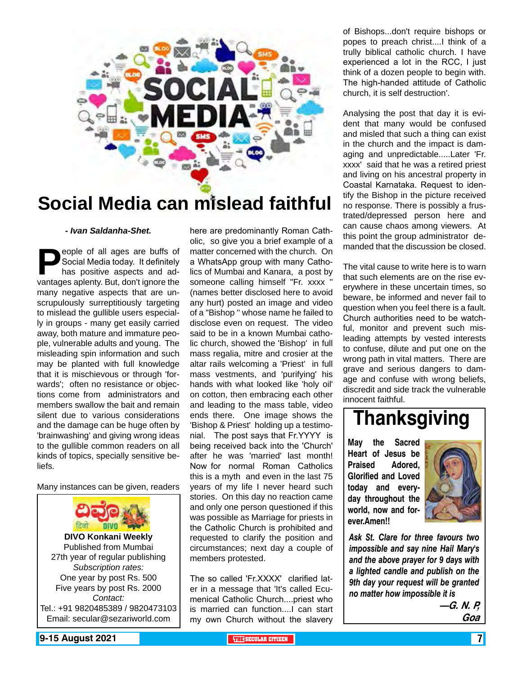

# **Social Media can mislead faithful**

#### *- Ivan Saldanha-Shet.*

**People of all ages are buffs of Social Media today. It definitely has positive aspects and advantages aplenty. But, don't ignore the** Social Media today. It definitely has positive aspects and admany negative aspects that are unscrupulously surreptitiously targeting to mislead the gullible users especially in groups - many get easily carried away, both mature and immature people, vulnerable adults and young. The misleading spin information and such may be planted with full knowledge that it is mischievous or through 'forwards'; often no resistance or objections come from administrators and members swallow the bait and remain silent due to various considerations and the damage can be huge often by 'brainwashing' and giving wrong ideas to the gullible common readers on all kinds of topics, specially sensitive beliefs.

#### Many instances can be given, readers



here are predominantly Roman Catholic, so give you a brief example of a matter concerned with the church. On a WhatsApp group with many Catholics of Mumbai and Kanara, a post by someone calling himself "Fr. xxxx '' (names better disclosed here to avoid any hurt) posted an image and video of a "Bishop '' whose name he failed to disclose even on request. The video said to be in a known Mumbai catholic church, showed the 'Bishop' in full mass regalia, mitre and crosier at the altar rails welcoming a 'Priest' in full mass vestments, and 'purifying' his hands with what looked like 'holy oil' on cotton, then embracing each other and leading to the mass table, video ends there. One image shows the 'Bishop & Priest' holding up a testimonial. The post says that Fr.YYYY is being received back into the 'Church' after he was 'married' last month! Now for normal Roman Catholics this is a myth and even in the last 75 years of my life I never heard such stories. On this day no reaction came and only one person questioned if this was possible as Marriage for priests in the Catholic Church is prohibited and requested to clarify the position and circumstances; next day a couple of members protested.

The so called 'Fr.XXXX' clarified later in a message that 'It's called Ecumenical Catholic Church....priest who is married can function....I can start my own Church without the slavery of Bishops...don't require bishops or popes to preach christ....I think of a trully biblical catholic church. I have experienced a lot in the RCC, I just think of a dozen people to begin with. The high-handed attitude of Catholic church, it is self destruction'.

Analysing the post that day it is evident that many would be confused and misled that such a thing can exist in the church and the impact is damaging and unpredictable.....Later 'Fr. xxxx' said that he was a retired priest and living on his ancestral property in Coastal Karnataka. Request to identify the Bishop in the picture received no response. There is possibly a frustrated/depressed person here and can cause chaos among viewers. At this point the group administrator demanded that the discussion be closed.

The vital cause to write here is to warn that such elements are on the rise everywhere in these uncertain times, so beware, be informed and never fail to question when you feel there is a fault. Church authorities need to be watchful, monitor and prevent such misleading attempts by vested interests to confuse, dilute and put one on the wrong path in vital matters. There are grave and serious dangers to damage and confuse with wrong beliefs, discredit and side track the vulnerable innocent faithful.

# **Thanksgiving**

**May the Sacred Heart of Jesus be Praised Adored, Glorified and Loved today and everyday throughout the world, now and forever.Amen!!**



*Ask St. Clare for three favours two impossible and say nine Hail Mary's and the above prayer for 9 days with a lighted candle and publish on the 9th day your request will be granted no matter how impossible it is*

> **—G. N. P, Goa**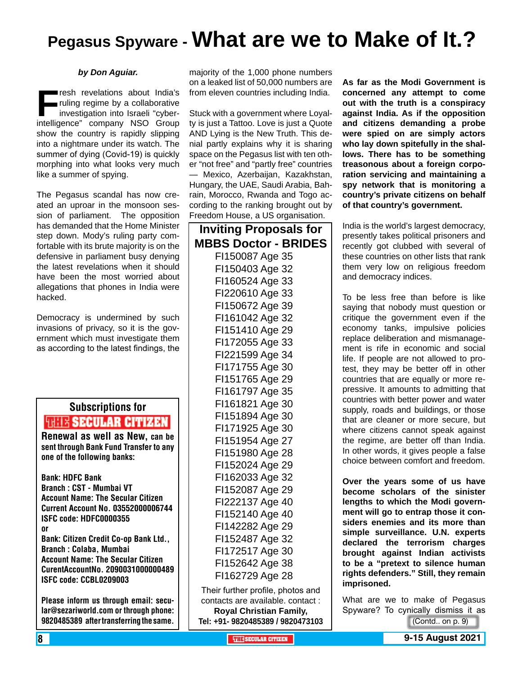# **Pegasus Spyware - What are we to Make of It.?**

#### *by Don Aguiar.*

**F**resh revelations about India's ruling regime by a collaborative investigation into Israeli "cyberintelligence" company NSO Group show the country is rapidly slipping into a nightmare under its watch. The summer of dying (Covid-19) is quickly morphing into what looks very much like a summer of spying.

The Pegasus scandal has now created an uproar in the monsoon session of parliament. The opposition has demanded that the Home Minister step down. Mody's ruling party comfortable with its brute majority is on the defensive in parliament busy denying the latest revelations when it should have been the most worried about allegations that phones in India were hacked.

Democracy is undermined by such invasions of privacy, so it is the government which must investigate them as according to the latest findings, the

# Subscriptions for **THIT'S SECULAR CITIZEN**<br>Renewal as well as New, can be

sent through Bank Fund Transfer to any one of the following banks:

Bank: HDFC Bank Branch : CST - Mumbai VT Account Name: The Secular Citizen Current Account No. 03552000006744 ISFC code: HDFC0000355 or Bank: Citizen Credit Co-op Bank Ltd., Branch : Colaba, Mumbai Account Name: The Secular Citizen CurentAccountNo. 2090031000000489 ISFC code: CCBL0209003

Please inform us through email: secular@sezariworld.com or through phone: **9820485389 after transferring the same.**  $\vert \cdot \vert$  Tel: +91-9820485389 / 9820473103  $\vert$  (Contd.. on p. 9)

majority of the 1,000 phone numbers on a leaked list of 50,000 numbers are from eleven countries including India.

Stuck with a government where Loyalty is just a Tattoo. Love is just a Quote AND Lying is the New Truth. This denial partly explains why it is sharing space on the Pegasus list with ten other "not free" and "partly free" countries — Mexico, Azerbaijan, Kazakhstan, Hungary, the UAE, Saudi Arabia, Bahrain, Morocco, Rwanda and Togo according to the ranking brought out by Freedom House, a US organisation.

| Inviting Proposals for      |  |
|-----------------------------|--|
| <b>MBBS Doctor - BRIDES</b> |  |
| FI150087 Age 35             |  |
| F1150403 Age 32             |  |
| FI160524 Age 33             |  |
| FI220610 Age 33             |  |
| F1150672 Age 39             |  |
| FI161042 Age 32             |  |
| F1151410 Age 29             |  |
| FI172055 Age 33             |  |
| FI221599 Age 34             |  |
| FI171755 Age 30             |  |
| F1151765 Age 29             |  |
| F1161797 Age 35             |  |
| FI161821 Age 30             |  |
| FI151894 Age 30             |  |
| FI171925 Age 30             |  |
| FI151954 Age 27             |  |
| FI151980 Age 28             |  |
| FI152024 Age 29             |  |
| FI162033 Age 32             |  |
| F1152087 Age 29             |  |
| FI222137 Age 40             |  |
| FI152140 Age 40             |  |
| FI142282 Age 29             |  |
| FI152487 Age 32             |  |
| FI172517 Age 30             |  |
| FI152642 Age 38             |  |
| F1162729 Age 28             |  |

Their further profile, photos and contacts are available. contact : **Royal Christian Family, Tel: +91- 9820485389 / 9820473103** **As far as the Modi Government is concerned any attempt to come out with the truth is a conspiracy against India. As if the opposition and citizens demanding a probe were spied on are simply actors who lay down spitefully in the shallows. There has to be something treasonous about a foreign corporation servicing and maintaining a spy network that is monitoring a country's private citizens on behalf of that country's government.**

India is the world's largest democracy, presently takes political prisoners and recently got clubbed with several of these countries on other lists that rank them very low on religious freedom and democracy indices.

To be less free than before is like saying that nobody must question or critique the government even if the economy tanks, impulsive policies replace deliberation and mismanagement is rife in economic and social life. If people are not allowed to protest, they may be better off in other countries that are equally or more repressive. It amounts to admitting that countries with better power and water supply, roads and buildings, or those that are cleaner or more secure, but where citizens cannot speak against the regime, are better off than India. In other words, it gives people a false choice between comfort and freedom.

**Over the years some of us have become scholars of the sinister lengths to which the Modi government will go to entrap those it considers enemies and its more than simple surveillance. U.N. experts declared the terrorism charges brought against Indian activists to be a "pretext to silence human rights defenders." Still, they remain imprisoned.**

What are we to make of Pegasus Spyware? To cynically dismiss it as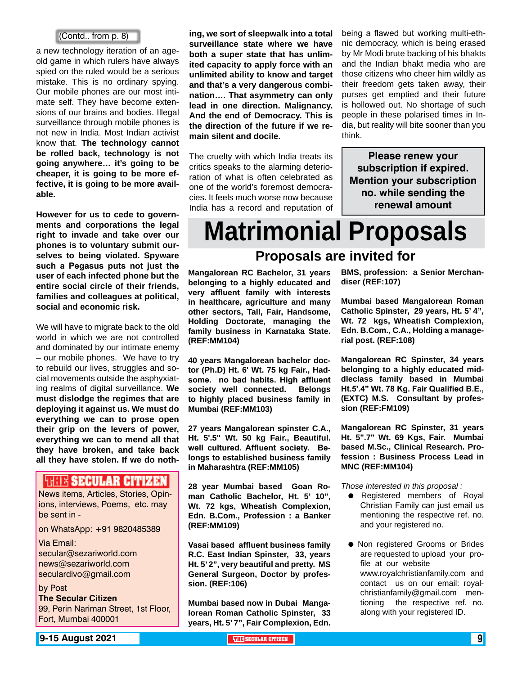a new technology iteration of an ageold game in which rulers have always spied on the ruled would be a serious mistake. This is no ordinary spying. Our mobile phones are our most intimate self. They have become extensions of our brains and bodies. Illegal surveillance through mobile phones is not new in India. Most Indian activist know that. **The technology cannot be rolled back, technology is not going anywhere… it's going to be cheaper, it is going to be more effective, it is going to be more available.**

**However for us to cede to governments and corporations the legal right to invade and take over our phones is to voluntary submit ourselves to being violated. Spyware such a Pegasus puts not just the user of each infected phone but the entire social circle of their friends, families and colleagues at political, social and economic risk.**

We will have to migrate back to the old world in which we are not controlled and dominated by our intimate enemy – our mobile phones. We have to try to rebuild our lives, struggles and social movements outside the asphyxiating realms of digital surveillance. **We must dislodge the regimes that are deploying it against us. We must do everything we can to prose open their grip on the levers of power, everything we can to mend all that they have broken, and take back all they have stolen. If we do noth-**

### **THIR SECULAR CITIZEN**

News items, Articles, Stories, Opinions, interviews, Poems, etc. may be sent in -

on WhatsApp: +91 9820485389

Via Email: secular@sezariworld.com news@sezariworld.com

seculardivo@gmail.com

#### by Post

**The Secular Citizen** 99, Perin Nariman Street, 1st Floor, Fort, Mumbai 400001

(Contd.. from p. 8) **ing, we sort of sleepwalk into a total surveillance state where we have both a super state that has unlimited capacity to apply force with an unlimited ability to know and target and that's a very dangerous combination…. That asymmetry can only lead in one direction. Malignancy. And the end of Democracy. This is the direction of the future if we remain silent and docile.**

> The cruelty with which India treats its critics speaks to the alarming deterioration of what is often celebrated as one of the world's foremost democracies. It feels much worse now because India has a record and reputation of

being a flawed but working multi-ethnic democracy, which is being erased by Mr Modi brute backing of his bhakts and the Indian bhakt media who are those citizens who cheer him wildly as their freedom gets taken away, their purses get emptied and their future is hollowed out. No shortage of such people in these polarised times in India, but reality will bite sooner than you think.

**Please renew your subscription if expired. Mention your subscription no. while sending the renewal amount**

# **Matrimonial Proposals**

### **Proposals are invited for**

**Mangalorean RC Bachelor, 31 years belonging to a highly educated and very affluent family with interests in healthcare, agriculture and many other sectors, Tall, Fair, Handsome, Holding Doctorate, managing the family business in Karnataka State. (REF:MM104)**

**40 years Mangalorean bachelor doctor (Ph.D) Ht. 6' Wt. 75 kg Fair., Hadsome. no bad habits. High affluent society well connected. Belongs to highly placed business family in Mumbai (REF:MM103)**

**27 years Mangalorean spinster C.A., Ht. 5'.5" Wt. 50 kg Fair., Beautiful. well cultured. Affluent society. Belongs to established business family in Maharashtra (REF:MM105)**

**28 year Mumbai based Goan Roman Catholic Bachelor, Ht. 5' 10", Wt. 72 kgs, Wheatish Complexion, Edn. B.Com., Profession : a Banker (REF:MM109)**

**Vasai based affluent business family R.C. East Indian Spinster, 33, years Ht. 5' 2", very beautiful and pretty. MS General Surgeon, Doctor by profession. (REF:106)**

**Mumbai based now in Dubai Mangalorean Roman Catholic Spinster, 33 years, Ht. 5' 7", Fair Complexion, Edn.** 

**BMS, profession: a Senior Merchandiser (REF:107)**

**Mumbai based Mangalorean Roman Catholic Spinster, 29 years, Ht. 5' 4", Wt. 72 kgs, Wheatish Complexion, Edn. B.Com., C.A., Holding a managerial post. (REF:108)** 

**Mangalorean RC Spinster, 34 years belonging to a highly educated middleclass family based in Mumbai Ht.5'.4" Wt. 78 Kg. Fair Qualified B.E., (EXTC) M.S. Consultant by profession (REF:FM109)**

**Mangalorean RC Spinster, 31 years Ht. 5".7" Wt. 69 Kgs, Fair. Mumbai based M.Sc., Clinical Research. Profession : Business Process Lead in MNC (REF:MM104)**

*Those interested in this proposal :*

- Registered members of Royal Christian Family can just email us mentioning the respective ref. no. and your registered no.
- $\bullet$  Non registered Grooms or Brides are requested to upload your profile at our website www.royalchristianfamily.com and contact us on our email: royalchristianfamily@gmail.com mentioning the respective ref. no. along with your registered ID.

**9-15 August 2021 The Secular Citizen in the SECULAR CITIZEN 1999 THE** SECULAR CITIZEN **1999**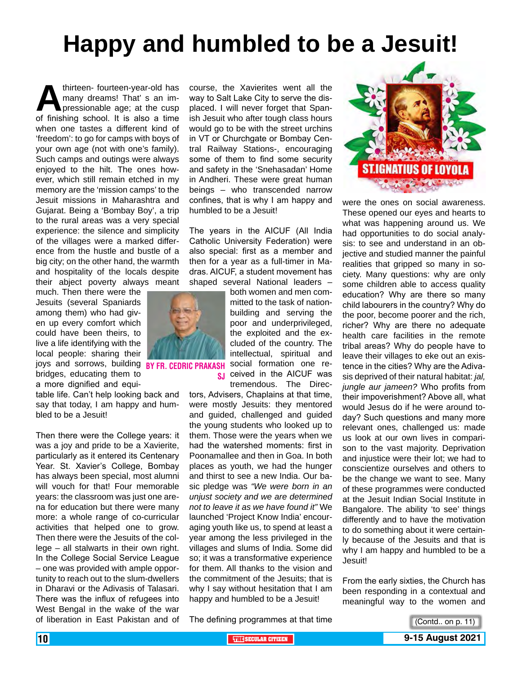# **Happy and humbled to be a Jesuit!**

thirteen- fourteen-year-old has<br>many dreams! That' s an im-<br>pressionable age; at the cusp<br>of finishing school. It is also a time many dreams! That' s an impressionable age; at the cusp of finishing school. It is also a time when one tastes a different kind of 'freedom': to go for camps with boys of your own age (not with one's family). Such camps and outings were always enjoyed to the hilt. The ones however, which still remain etched in my memory are the 'mission camps' to the Jesuit missions in Maharashtra and Gujarat. Being a 'Bombay Boy', a trip to the rural areas was a very special experience: the silence and simplicity of the villages were a marked difference from the hustle and bustle of a big city; on the other hand, the warmth and hospitality of the locals despite their abject poverty always meant

much. Then there were the Jesuits (several Spaniards among them) who had given up every comfort which could have been theirs, to live a life identifying with the local people: sharing their joys and sorrows, building **BYFR.CEDRICPRAKA** bridges, educating them to a more dignified and equi-

table life. Can't help looking back and say that today, I am happy and humbled to be a Jesuit!

Then there were the College years: it was a joy and pride to be a Xavierite, particularly as it entered its Centenary Year. St. Xavier's College, Bombay has always been special, most alumni will vouch for that! Four memorable years: the classroom was just one arena for education but there were many more: a whole range of co-curricular activities that helped one to grow. Then there were the Jesuits of the college – all stalwarts in their own right. In the College Social Service League – one was provided with ample opportunity to reach out to the slum-dwellers in Dharavi or the Adivasis of Talasari. There was the influx of refugees into West Bengal in the wake of the war of liberation in East Pakistan and of

course, the Xavierites went all the way to Salt Lake City to serve the displaced. I will never forget that Spanish Jesuit who after tough class hours would go to be with the street urchins in VT or Churchgate or Bombay Central Railway Stations-, encouraging some of them to find some security and safety in the 'Snehasadan' Home in Andheri. These were great human beings – who transcended narrow confines, that is why I am happy and humbled to be a Jesuit!

The years in the AICUF (All India Catholic University Federation) were also special: first as a member and then for a year as a full-timer in Madras. AICUF, a student movement has shaped several National leaders –

both women and men com-

mitted to the task of nationbuilding and serving the poor and underprivileged, the exploited and the excluded of the country. The intellectual, spiritual and social formation one re-**SJ** ceived in the AICUF was

tremendous. The Directors, Advisers, Chaplains at that time, were mostly Jesuits: they mentored and guided, challenged and guided the young students who looked up to them. Those were the years when we had the watershed moments: first in Poonamallee and then in Goa. In both places as youth, we had the hunger and thirst to see a new India. Our basic pledge was *"We were born in an unjust society and we are determined not to leave it as we have found it"* We launched 'Project Know India' encouraging youth like us, to spend at least a year among the less privileged in the villages and slums of India. Some did so; it was a transformative experience for them. All thanks to the vision and the commitment of the Jesuits; that is why I say without hesitation that I am happy and humbled to be a Jesuit!

The defining programmes at that time



were the ones on social awareness. These opened our eyes and hearts to what was happening around us. We had opportunities to do social analysis: to see and understand in an objective and studied manner the painful realities that gripped so many in society. Many questions: why are only some children able to access quality education? Why are there so many child labourers in the country? Why do the poor, become poorer and the rich, richer? Why are there no adequate health care facilities in the remote tribal areas? Why do people have to leave their villages to eke out an existence in the cities? Why are the Adivasis deprived of their natural habitat: *jal, jungle aur jameen?* Who profits from their impoverishment? Above all, what would Jesus do if he were around today? Such questions and many more relevant ones, challenged us: made us look at our own lives in comparison to the vast majority. Deprivation and injustice were their lot; we had to conscientize ourselves and others to be the change we want to see. Many of these programmes were conducted at the Jesuit Indian Social Institute in Bangalore. The ability 'to see' things differently and to have the motivation to do something about it were certainly because of the Jesuits and that is why I am happy and humbled to be a Jesuit!

From the early sixties, the Church has been responding in a contextual and meaningful way to the women and

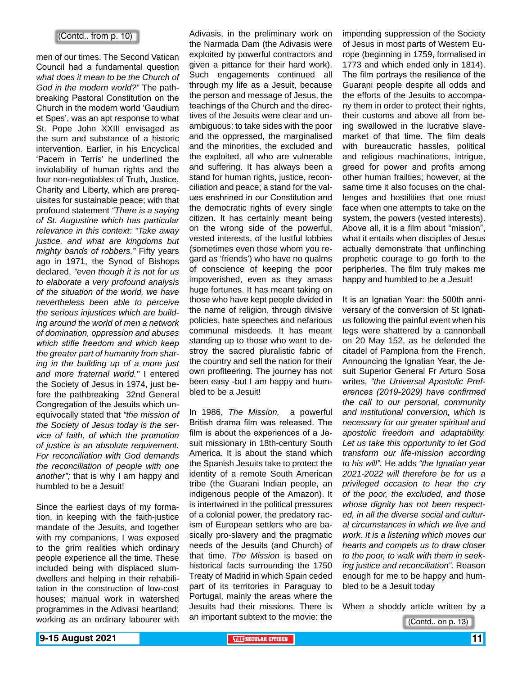#### (Contd.. from p. 10)

men of our times. The Second Vatican Council had a fundamental question *what does it mean to be the Church of God in the modern world?"* The pathbreaking Pastoral Constitution on the Church in the modern world 'Gaudium et Spes', was an apt response to what St. Pope John XXIII envisaged as the sum and substance of a historic intervention. Earlier, in his Encyclical 'Pacem in Terris' he underlined the inviolability of human rights and the four non-negotiables of Truth, Justice, Charity and Liberty, which are prerequisites for sustainable peace; with that profound statement *"There is a saying of St. Augustine which has particular relevance in this context: "Take away justice, and what are kingdoms but mighty bands of robbers."* Fifty years ago in 1971, the Synod of Bishops declared, *"even though it is not for us to elaborate a very profound analysis of the situation of the world, we have nevertheless been able to perceive the serious injustices which are building around the world of men a network of domination, oppression and abuses which stifle freedom and which keep the greater part of humanity from sharing in the building up of a more just and more fraternal world."* I entered the Society of Jesus in 1974, just before the pathbreaking 32nd General Congregation of the Jesuits which unequivocally stated that *"the mission of the Society of Jesus today is the service of faith, of which the promotion of justice is an absolute requirement. For reconciliation with God demands the reconciliation of people with one another";* that is why I am happy and humbled to be a Jesuit!

Since the earliest days of my formation, in keeping with the faith-justice mandate of the Jesuits, and together with my companions, I was exposed to the grim realities which ordinary people experience all the time. These included being with displaced slumdwellers and helping in their rehabilitation in the construction of low-cost houses; manual work in watershed programmes in the Adivasi heartland; working as an ordinary labourer with

Adivasis, in the preliminary work on the Narmada Dam (the Adivasis were exploited by powerful contractors and given a pittance for their hard work). Such engagements continued all through my life as a Jesuit, because the person and message of Jesus, the teachings of the Church and the directives of the Jesuits were clear and unambiguous: to take sides with the poor and the oppressed, the marginalised and the minorities, the excluded and the exploited, all who are vulnerable and suffering. It has always been a stand for human rights, justice, reconciliation and peace; a stand for the values enshrined in our Constitution and the democratic rights of every single citizen. It has certainly meant being on the wrong side of the powerful, vested interests, of the lustful lobbies (sometimes even those whom you regard as 'friends') who have no qualms of conscience of keeping the poor impoverished, even as they amass huge fortunes. It has meant taking on those who have kept people divided in the name of religion, through divisive policies, hate speeches and nefarious communal misdeeds. It has meant standing up to those who want to destroy the sacred pluralistic fabric of the country and sell the nation for their own profiteering. The journey has not been easy -but I am happy and humbled to be a Jesuit!

In 1986, *The Mission,* a powerful British drama film was released. The film is about the experiences of a Jesuit missionary in 18th-century South America. It is about the stand which the Spanish Jesuits take to protect the identity of a remote South American tribe (the Guarani Indian people, an indigenous people of the Amazon). It is intertwined in the political pressures of a colonial power, the predatory racism of European settlers who are basically pro-slavery and the pragmatic needs of the Jesuits (and Church) of that time. *The Mission* is based on historical facts surrounding the 1750 Treaty of Madrid in which Spain ceded part of its territories in Paraguay to Portugal, mainly the areas where the Jesuits had their missions. There is an important subtext to the movie: the impending suppression of the Society of Jesus in most parts of Western Europe (beginning in 1759, formalised in 1773 and which ended only in 1814). The film portrays the resilience of the Guarani people despite all odds and the efforts of the Jesuits to accompany them in order to protect their rights, their customs and above all from being swallowed in the lucrative slavemarket of that time. The film deals with bureaucratic hassles, political and religious machinations, intrigue, greed for power and profits among other human frailties; however, at the same time it also focuses on the challenges and hostilities that one must face when one attempts to take on the system, the powers (vested interests). Above all, it is a film about "mission", what it entails when disciples of Jesus actually demonstrate that unflinching prophetic courage to go forth to the peripheries. The film truly makes me happy and humbled to be a Jesuit!

It is an Ignatian Year: the 500th anniversary of the conversion of St Ignatius following the painful event when his legs were shattered by a cannonball on 20 May 152, as he defended the citadel of Pamplona from the French. Announcing the Ignatian Year, the Jesuit Superior General Fr Arturo Sosa writes, *"the Universal Apostolic Preferences (2019-2029) have confirmed the call to our personal, community and institutional conversion, which is necessary for our greater spiritual and apostolic freedom and adaptability. Let us take this opportunity to let God transform our life-mission according to his will".* He adds *"the Ignatian year 2021-2022 will therefore be for us a privileged occasion to hear the cry of the poor, the excluded, and those whose dignity has not been respected, in all the diverse social and cultural circumstances in which we live and work. It is a listening which moves our hearts and compels us to draw closer to the poor, to walk with them in seeking justice and reconciliation"*. Reason enough for me to be happy and humbled to be a Jesuit today

When a shoddy article written by a

(Contd.. on p. 13)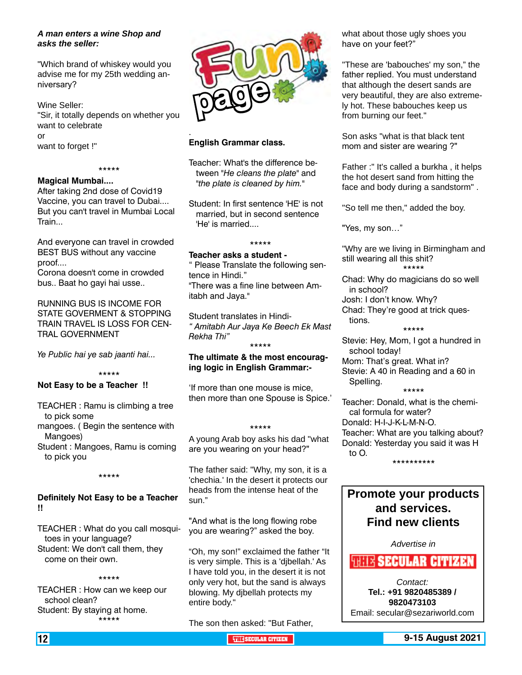#### *A man enters a wine Shop and asks the seller:*

"Which brand of whiskey would you advise me for my 25th wedding anniversary?

Wine Seller:

"Sir, it totally depends on whether you want to celebrate or want to forget !"

#### \*\*\*\*\*

#### **Magical Mumbai....**

After taking 2nd dose of Covid19 Vaccine, you can travel to Dubai.... But you can't travel in Mumbai Local **Train** 

And everyone can travel in crowded BEST BUS without any vaccine proof....

Corona doesn't come in crowded bus.. Baat ho gayi hai usse..

RUNNING BUS IS INCOME FOR STATE GOVERMENT & STOPPING TRAIN TRAVEL IS LOSS FOR CEN-TRAL GOVERNMENT

*Ye Public hai ye sab jaanti hai...*

\*\*\*\*\*

#### **Not Easy to be a Teacher !!**

TEACHER : Ramu is climbing a tree to pick some

mangoes. ( Begin the sentence with Mangoes)

Student : Mangoes, Ramu is coming to pick you

\*\*\*\*\*

#### **Definitely Not Easy to be a Teacher !!**

TEACHER : What do you call mosquitoes in your language? Student: We don't call them, they come on their own.

#### \*\*\*\*\*

TEACHER : How can we keep our school clean? Student: By staying at home. \*\*\*\*\*



#### **English Grammar class.**

.

Teacher: What's the difference between *"He cleans the plate"* and *"the plate is cleaned by him."*

Student: In first sentence 'HE' is not married, but in second sentence 'He' is married

#### \*\*\*\*\*

#### **Teacher asks a student -**

" Please Translate the following sentence in Hindi." "There was a fine line between Amitabh and Jaya."

Student translates in Hindi- *" Amitabh Aur Jaya Ke Beech Ek Mast Rekha Thi"* \*\*\*\*\*

#### **The ultimate & the most encouraging logic in English Grammar:-**

'If more than one mouse is mice, then more than one Spouse is Spice.'

#### \*\*\*\*\*

A young Arab boy asks his dad "what are you wearing on your head?"

The father said: "Why, my son, it is a 'chechia.' In the desert it protects our heads from the intense heat of the sun."

"And what is the long flowing robe you are wearing?" asked the boy.

"Oh, my son!" exclaimed the father "It is very simple. This is a 'djbellah.' As I have told you, in the desert it is not only very hot, but the sand is always blowing. My djbellah protects my entire body."

The son then asked: "But Father,

what about those ugly shoes you have on your feet?"

"These are 'babouches' my son," the father replied. You must understand that although the desert sands are very beautiful, they are also extremely hot. These babouches keep us from burning our feet."

Son asks "what is that black tent mom and sister are wearing ?"

Father :" It's called a burkha , it helps the hot desert sand from hitting the face and body during a sandstorm" .

"So tell me then," added the boy.

"Yes, my son…"

"Why are we living in Birmingham and still wearing all this shit? \*\*\*\*\*

Chad: Why do magicians do so well in school?

Josh: I don't know. Why?

Chad: They're good at trick questions.

\*\*\*\*\*

Stevie: Hey, Mom, I got a hundred in school today! Mom: That's great. What in?

Stevie: A 40 in Reading and a 60 in Spelling.

#### \*\*\*\*\*

Teacher: Donald, what is the chemical formula for water? Donald: H-I-J-K-L-M-N-O. Teacher: What are you talking about? Donald: Yesterday you said it was H to O.

\*\*\*\*\*\*\*\*\*\*

### **Promote your products and services. Find new clients**

*Advertise in*

**THEIR SECULAR CITIZEN** 

*Contact:* **Tel.: +91 9820485389 / 9820473103** Email: secular@sezariworld.com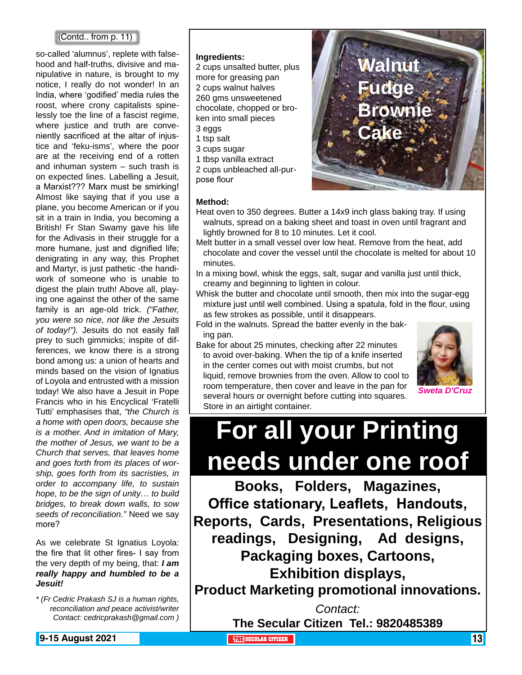#### (Contd.. from p. 11)

so-called 'alumnus', replete with falsehood and half-truths, divisive and manipulative in nature, is brought to my notice, I really do not wonder! In an India, where 'godified' media rules the roost, where crony capitalists spinelessly toe the line of a fascist regime, where justice and truth are conveniently sacrificed at the altar of injustice and 'feku-isms', where the poor are at the receiving end of a rotten and inhuman system – such trash is on expected lines. Labelling a Jesuit, a Marxist??? Marx must be smirking! Almost like saying that if you use a plane, you become American or if you sit in a train in India, you becoming a British! Fr Stan Swamy gave his life for the Adivasis in their struggle for a more humane, just and dignified life; denigrating in any way, this Prophet and Martyr, is just pathetic -the handiwork of someone who is unable to digest the plain truth! Above all, playing one against the other of the same family is an age-old trick. *("Father, you were so nice, not like the Jesuits of today!").* Jesuits do not easily fall prey to such gimmicks; inspite of differences, we know there is a strong bond among us: a union of hearts and minds based on the vision of Ignatius of Loyola and entrusted with a mission today! We also have a Jesuit in Pope Francis who in his Encyclical 'Fratelli Tutti' emphasises that, *"the Church is a home with open doors, because she is a mother. And in imitation of Mary, the mother of Jesus, we want to be a Church that serves, that leaves home and goes forth from its places of worship, goes forth from its sacristies, in order to accompany life, to sustain hope, to be the sign of unity… to build bridges, to break down walls, to sow seeds of reconciliation."* Need we say more?

As we celebrate St Ignatius Loyola: the fire that lit other fires- I say from the very depth of my being, that: *I am really happy and humbled to be a Jesuit!*

*\* (Fr Cedric Prakash SJ is a human rights, reconciliation and peace activist/writer Contact: cedricprakash@gmail.com )* 

#### **Ingredients:**

2 cups unsalted butter, plus more for greasing pan 2 cups walnut halves 260 gms unsweetened chocolate, chopped or broken into small pieces 3 eggs 1 tsp salt 3 cups sugar 1 tbsp vanilla extract 2 cups unbleached all-purpose flour



#### **Method:**

- Heat oven to 350 degrees. Butter a 14x9 inch glass baking tray. If using walnuts, spread on a baking sheet and toast in oven until fragrant and lightly browned for 8 to 10 minutes. Let it cool.
- Melt butter in a small vessel over low heat. Remove from the heat, add chocolate and cover the vessel until the chocolate is melted for about 10 minutes.
- In a mixing bowl, whisk the eggs, salt, sugar and vanilla just until thick, creamy and beginning to lighten in colour.
- Whisk the butter and chocolate until smooth, then mix into the sugar-egg mixture just until well combined. Using a spatula, fold in the flour, using as few strokes as possible, until it disappears.
- Fold in the walnuts. Spread the batter evenly in the baking pan.
- Bake for about 25 minutes, checking after 22 minutes to avoid over-baking. When the tip of a knife inserted in the center comes out with moist crumbs, but not liquid, remove brownies from the oven. Allow to cool to room temperature, then cover and leave in the pan for several hours or overnight before cutting into squares. Store in an airtight container.



*Sweta D'Cruz*

# **For all your Printing needs under one roof**

**Books, Folders, Magazines, Office stationary, Leaflets, Handouts, Reports, Cards, Presentations, Religious readings, Designing, Ad designs, Packaging boxes, Cartoons, Exhibition displays,** 

**Product Marketing promotional innovations.**

*Contact:* **The Secular Citizen Tel.: 9820485389**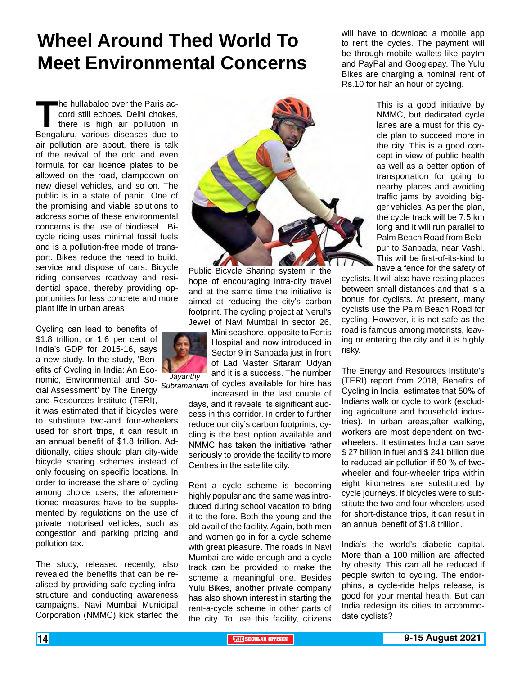# **Wheel Around Thed World To Meet Environmental Concerns**

The hullabaloo over the Paris accord still echoes. Delhi chokes, there is high air pollution in Bengaluru, various diseases due to cord still echoes. Delhi chokes, there is high air pollution in air pollution are about, there is talk of the revival of the odd and even formula for car licence plates to be allowed on the road, clampdown on new diesel vehicles, and so on. The public is in a state of panic. One of the promising and viable solutions to address some of these environmental concerns is the use of biodiesel. Bicycle riding uses minimal fossil fuels and is a pollution-free mode of transport. Bikes reduce the need to build, service and dispose of cars. Bicycle riding conserves roadway and residential space, thereby providing opportunities for less concrete and more plant life in urban areas

Cycling can lead to benefits of \$1.8 trillion, or 1.6 per cent of India's GDP for 2015-16, says a new study. In the study, 'Benefits of Cycling in India: An Economic, Environmental and Sonomic, Environmental and So-<br>cial Assessment' by The Energy Subramaniam increased in the last couple of and Resources Institute (TERI),

it was estimated that if bicycles were to substitute two-and four-wheelers used for short trips, it can result in an annual benefit of \$1.8 trillion. Additionally, cities should plan city-wide bicycle sharing schemes instead of only focusing on specific locations. In order to increase the share of cycling among choice users, the aforementioned measures have to be supplemented by regulations on the use of private motorised vehicles, such as congestion and parking pricing and pollution tax.

The study, released recently, also revealed the benefits that can be realised by providing safe cycling infrastructure and conducting awareness campaigns. Navi Mumbai Municipal Corporation (NMMC) kick started the



Public Bicycle Sharing system in the hope of encouraging intra-city travel and at the same time the initiative is aimed at reducing the city's carbon footprint. The cycling project at Nerul's Jewel of Navi Mumbai in sector 26,



*Subramaniam*

Mini seashore, opposite to Fortis Hospital and now introduced in Sector 9 in Sanpada just in front of Lad Master Sitaram Udyan and it is a success. The number increased in the last couple of

days, and it reveals its significant success in this corridor. In order to further reduce our city's carbon footprints, cycling is the best option available and NMMC has taken the initiative rather seriously to provide the facility to more Centres in the satellite city.

Rent a cycle scheme is becoming highly popular and the same was introduced during school vacation to bring it to the fore. Both the young and the old avail of the facility. Again, both men and women go in for a cycle scheme with great pleasure. The roads in Navi Mumbai are wide enough and a cycle track can be provided to make the scheme a meaningful one. Besides Yulu Bikes, another private company has also shown interest in starting the rent-a-cycle scheme in other parts of the city. To use this facility, citizens

will have to download a mobile app to rent the cycles. The payment will be through mobile wallets like paytm and PayPal and Googlepay. The Yulu Bikes are charging a nominal rent of Rs.10 for half an hour of cycling.

> This is a good initiative by NMMC, but dedicated cycle lanes are a must for this cycle plan to succeed more in the city. This is a good concept in view of public health as well as a better option of transportation for going to nearby places and avoiding traffic jams by avoiding bigger vehicles. As per the plan, the cycle track will be 7.5 km long and it will run parallel to Palm Beach Road from Belapur to Sanpada, near Vashi. This will be first-of-its-kind to have a fence for the safety of

cyclists. It will also have resting places between small distances and that is a bonus for cyclists. At present, many cyclists use the Palm Beach Road for cycling. However, it is not safe as the road is famous among motorists, leaving or entering the city and it is highly risky.

The Energy and Resources Institute's (TERI) report from 2018, Benefits of Cycling in India, estimates that 50% of Indians walk or cycle to work (excluding agriculture and household industries). In urban areas,after walking, workers are most dependent on twowheelers. It estimates India can save \$ 27 billion in fuel and \$ 241 billion due to reduced air pollution if 50 % of twowheeler and four-wheeler trips within eight kilometres are substituted by cycle journeys. If bicycles were to substitute the two-and four-wheelers used for short-distance trips, it can result in an annual benefit of \$1.8 trillion.

India's the world's diabetic capital. More than a 100 million are affected by obesity. This can all be reduced if people switch to cycling. The endorphins, a cycle-ride helps release, is good for your mental health. But can India redesign its cities to accommodate cyclists?

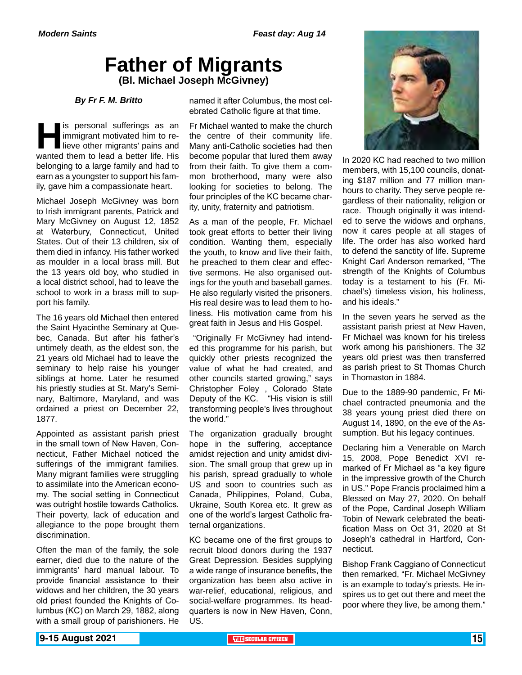### **Father of Migrants (Bl. Michael Joseph McGivney)**

#### *By Fr F. M. Britto*

is personal sufferings as an immigrant motivated him to re-<br>lieve other migrants' pains and<br>wanted them to lead a better life. His immigrant motivated him to relieve other migrants' pains and wanted them to lead a better life. His belonging to a large family and had to earn as a youngster to support his family, gave him a compassionate heart.

Michael Joseph McGivney was born to Irish immigrant parents, Patrick and Mary McGivney on August 12, 1852 at Waterbury, Connecticut, United States. Out of their 13 children, six of them died in infancy. His father worked as moulder in a local brass mill. But the 13 years old boy, who studied in a local district school, had to leave the school to work in a brass mill to support his family.

The 16 years old Michael then entered the Saint Hyacinthe Seminary at Quebec, Canada. But after his father's untimely death, as the eldest son, the 21 years old Michael had to leave the seminary to help raise his younger siblings at home. Later he resumed his priestly studies at St. Mary's Seminary, Baltimore, Maryland, and was ordained a priest on December 22, 1877.

Appointed as assistant parish priest in the small town of New Haven, Connecticut, Father Michael noticed the sufferings of the immigrant families. Many migrant families were struggling to assimilate into the American economy. The social setting in Connecticut was outright hostile towards Catholics. Their poverty, lack of education and allegiance to the pope brought them discrimination.

Often the man of the family, the sole earner, died due to the nature of the immigrants' hard manual labour. To provide financial assistance to their widows and her children, the 30 years old priest founded the Knights of Columbus (KC) on March 29, 1882, along with a small group of parishioners. He named it after Columbus, the most celebrated Catholic figure at that time.

Fr Michael wanted to make the church the centre of their community life. Many anti-Catholic societies had then become popular that lured them away from their faith. To give them a common brotherhood, many were also looking for societies to belong. The four principles of the KC became charity, unity, fraternity and patriotism.

As a man of the people, Fr. Michael took great efforts to better their living condition. Wanting them, especially the youth, to know and live their faith, he preached to them clear and effective sermons. He also organised outings for the youth and baseball games. He also regularly visited the prisoners. His real desire was to lead them to holiness. His motivation came from his great faith in Jesus and His Gospel.

 "Originally Fr McGivney had intended this programme for his parish, but quickly other priests recognized the value of what he had created, and other councils started growing," says Christopher Foley , Colorado State Deputy of the KC. "His vision is still transforming people's lives throughout the world."

The organization gradually brought hope in the suffering, acceptance amidst rejection and unity amidst division. The small group that grew up in his parish, spread gradually to whole US and soon to countries such as Canada, Philippines, Poland, Cuba, Ukraine, South Korea etc. It grew as one of the world's largest Catholic fraternal organizations.

KC became one of the first groups to recruit blood donors during the 1937 Great Depression. Besides supplying a wide range of insurance benefits, the organization has been also active in war-relief, educational, religious, and social-welfare programmes. Its headquarters is now in New Haven, Conn, US.



In 2020 KC had reached to two million members, with 15,100 councils, donating \$187 million and 77 million manhours to charity. They serve people regardless of their nationality, religion or race. Though originally it was intended to serve the widows and orphans, now it cares people at all stages of life. The order has also worked hard to defend the sanctity of life. Supreme Knight Carl Anderson remarked, "The strength of the Knights of Columbus today is a testament to his (Fr. Michael's) timeless vision, his holiness, and his ideals."

In the seven years he served as the assistant parish priest at New Haven, Fr Michael was known for his tireless work among his parishioners. The 32 years old priest was then transferred as parish priest to St Thomas Church in Thomaston in 1884.

Due to the 1889-90 pandemic, Fr Michael contracted pneumonia and the 38 years young priest died there on August 14, 1890, on the eve of the Assumption. But his legacy continues.

Declaring him a Venerable on March 15, 2008, Pope Benedict XVI remarked of Fr Michael as "a key figure in the impressive growth of the Church in US." Pope Francis proclaimed him a Blessed on May 27, 2020. On behalf of the Pope, Cardinal Joseph William Tobin of Newark celebrated the beatification Mass on Oct 31, 2020 at St Joseph's cathedral in Hartford, Connecticut.

Bishop Frank Caggiano of Connecticut then remarked, "Fr. Michael McGivney is an example to today's priests. He inspires us to get out there and meet the poor where they live, be among them."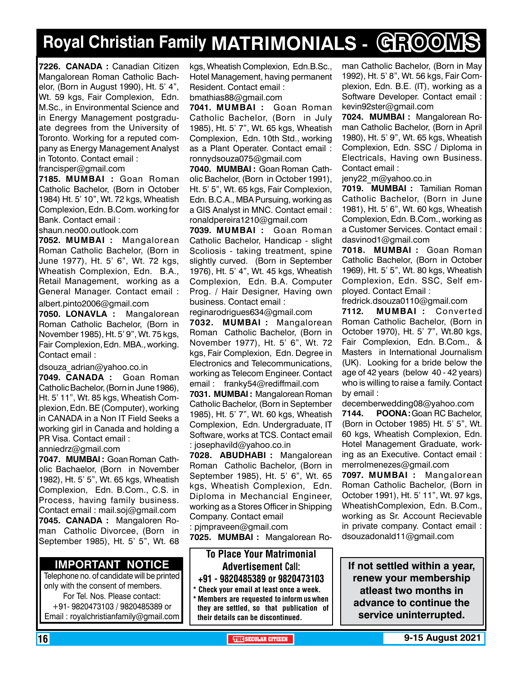# **Royal Christian Family MATRIMONIALS - GROOMS**

**7226. CANADA :** Canadian Citizen Mangalorean Roman Catholic Bachelor, (Born in August 1990), Ht. 5' 4", Wt. 59 kgs, Fair Complexion, Edn. M.Sc., in Environmental Science and in Energy Management postgraduate degrees from the University of Toronto. Working for a reputed company as Energy Management Analyst in Totonto. Contact email :

francisper@gmail.com

**7185. MUMBAI :** Goan Roman Catholic Bachelor, (Born in October 1984) Ht. 5' 10", Wt. 72 kgs, Wheatish Complexion, Edn. B.Com. working for Bank. Contact email :

shaun.neo00.outlook.com

**7052. MUMBAI :** Mangalorean Roman Catholic Bachelor, (Born in June 1977), Ht. 5' 6", Wt. 72 kgs, Wheatish Complexion, Edn. B.A., Retail Management, working as a General Manager. Contact email :

albert.pinto2006@gmail.com

**7050. LONAVLA :** Mangalorean Roman Catholic Bachelor, (Born in November 1985), Ht. 5' 9", Wt. 75 kgs, Fair Complexion, Edn. MBA., working. Contact email :

dsouza adrian@yahoo.co.in

**7049. CANADA :** Goan Roman Catholic Bachelor, (Born in June 1986), Ht. 5' 11", Wt. 85 kgs, Wheatish Complexion, Edn. BE (Computer), working in CANADA in a Non IT Field Seeks a working girl in Canada and holding a PR Visa. Contact email :

anniedrz@gmail.com

**7047. MUMBAI :** Goan Roman Catholic Bachaelor, (Born in November 1982), Ht. 5' 5", Wt. 65 kgs, Wheatish Complexion, Edn. B.Com., C.S. in Process, having family business. Contact email : mail.soj@gmail.com **7045. CANADA :** Mangaloren Roman Catholic Divorcee, (Born in September 1985), Ht. 5' 5", Wt. 68

#### **Important Notice**

Telephone no. of candidate will be printed only with the consent of members. For Tel. Nos. Please contact: +91- 9820473103 / 9820485389 or Email : royalchristianfamily@gmail.com

kgs, Wheatish Complexion, Edn.B.Sc., Hotel Management, having permanent Resident. Contact email : bmathias88@gmail.com

**7041. MUMBAI :** Goan Roman Catholic Bachelor, (Born in July 1985), Ht. 5' 7", Wt. 65 kgs, Wheatish Complexion, Edn. 10th Std., working as a Plant Operater. Contact email : ronnydsouza075@gmail.com

**7040. MUMBAI :** Goan Roman Catholic Bachelor, (Born in October 1991), Ht. 5' 5", Wt. 65 kgs, Fair Complexion, Edn. B.C.A., MBA Pursuing, working as a GIS Analyst in MNC. Contact email : ronaldpereira1210@gmail.com

**7039. MUMBAI :** Goan Roman Catholic Bachelor, Handicap - slight Scoliosis - taking treatment, spine slightly curved. (Born in September 1976), Ht. 5' 4", Wt. 45 kgs, Wheatish Complexion, Edn. B.A. Computer Prog. / Hair Designer, Having own business. Contact email :

reginarodrigues634@gmail.com

**7032. MUMBAI :** Mangalorean Roman Catholic Bachelor, (Born in November 1977), Ht. 5' 6", Wt. 72 kgs, Fair Complexion, Edn. Degree in Electronics and Telecommunications, working as Telecom Engineer. Contact email : franky54@rediffmail.com

**7031. MUMBAI :** Mangalorean Roman Catholic Bachelor, (Born in September 1985), Ht. 5' 7", Wt. 60 kgs, Wheatish Complexion, Edn. Undergraduate, IT Software, works at TCS. Contact email : josephavild@yahoo.co.in

**7028. ABUDHABI :** Mangalorean Roman Catholic Bachelor, (Born in September 1985), Ht. 5' 6", Wt. 65 kgs, Wheatish Complexion, Edn. Diploma in Mechancial Engineer, working as a Stores Officer in Shipping Company. Contact email

: pjmpraveen@gmail.com

**7025. MUMBAI :** Mangalorean Ro-

To Place Your Matrimonial Advertisement Call: +91 - 9820485389 or 9820473103 Check your email at least once a week.

Members are requested to inform us when they are settled, so that publication of their details can be discontinued.

man Catholic Bachelor, (Born in May 1992), Ht. 5' 8", Wt. 56 kgs, Fair Complexion, Edn. B.E. (IT), working as a Software Developer. Contact email : kevin92ster@gmail.com

**7024. MUMBAI :** Mangalorean Roman Catholic Bachelor, (Born in April 1980), Ht. 5' 9", Wt. 65 kgs, Wheatish Complexion, Edn. SSC / Diploma in Electricals, Having own Business. Contact email :

jeny22\_m@yahoo.co.in

**7019. MUMBAI :** Tamilian Roman Catholic Bachelor, (Born in June 1981), Ht. 5' 6", Wt. 60 kgs, Wheatish Complexion, Edn. B.Com., working as a Customer Services. Contact email : dasvinod1@gmail.com

**7018. MUMBAI :** Goan Roman Catholic Bachelor, (Born in October 1969), Ht. 5' 5", Wt. 80 kgs, Wheatish Complexion, Edn. SSC, Self employed. Contact Email :

fredrick.dsouza0110@gmail.com

**7112. MUMBAI :** Converted Roman Catholic Bachelor, (Born in October 1970), Ht. 5' 7", Wt.80 kgs, Fair Complexion, Edn. B.Com., & Masters in International Journalism (UK). Looking for a bride below the age of 42 years (below 40 - 42 years) who is willing to raise a family. Contact by email :

decemberwedding08@yahoo.com

**7144.** POONA: Goan RC Bachelor. (Born in October 1985) Ht. 5' 5", Wt. 60 kgs, Wheatish Complexion, Edn. Hotel Management Graduate, working as an Executive. Contact email : merrolmenezes@gmail.com

**7097. MUMBAI :** Mangalorean Roman Catholic Bachelor, (Born in October 1991), Ht. 5' 11", Wt. 97 kgs, WheatishComplexion, Edn. B.Com., working as Sr. Account Recievable in private company. Contact email : dsouzadonald11@gmail.com

**If not settled within a year, renew your membership atleast two months in advance to continue the service uninterrupted.**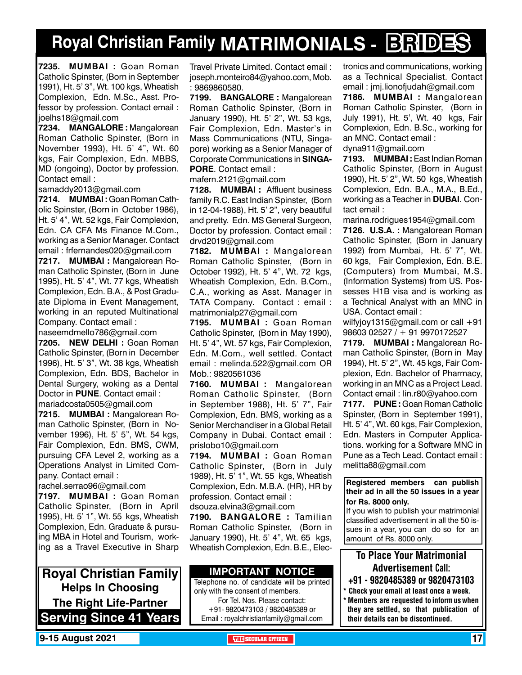# **Royal Christian Family MATRIMONIALS - BRIDES**

**7235. MUMBAI :** Goan Roman Catholic Spinster, (Born in September 1991), Ht. 5' 3", Wt. 100 kgs, Wheatish Complexion, Edn. M.Sc., Asst. Professor by profession. Contact email : joelhs18@gmail.com

**7234. MANGALORE :** Mangalorean Roman Catholic Spinster, (Born in November 1993), Ht. 5' 4", Wt. 60 kgs, Fair Complexion, Edn. MBBS, MD (ongoing), Doctor by profession. Contact email :

samaddy2013@gmail.com

**7214. MUMBAI :** Goan Roman Catholic Spinster, (Born in October 1986), Ht. 5' 4", Wt. 52 kgs, Fair Complexion, Edn. CA CFA Ms Finance M.Com., working as a Senior Manager. Contact email : frfernandes020@gmail.com

**7217. MUMBAI :** Mangalorean Roman Catholic Spinster, (Born in June 1995), Ht. 5' 4", Wt. 77 kgs, Wheatish Complexion, Edn. B.A., & Post Graduate Diploma in Event Management, working in an reputed Multinational Company. Contact email :

naseemdmello786@gmail.com

**7205. NEW DELHI :** Goan Roman Catholic Spinster, (Born in December 1996), Ht. 5' 3", Wt. 38 kgs, Wheatish Complexion, Edn. BDS, Bachelor in Dental Surgery, woking as a Dental Doctor in **PUNE**. Contact email : mariadcosta0505@gmail.com

**7215. MUMBAI :** Mangalorean Roman Catholic Spinster, (Born in November 1996), Ht. 5' 5", Wt. 54 kgs, Fair Complexion, Edn. BMS, CWM, pursuing CFA Level 2, working as a Operations Analyst in Limited Company. Contact email :

rachel.serrao96@gmail.com

**7197. MUMBAI :** Goan Roman Catholic Spinster, (Born in April 1995), Ht. 5' 1", Wt. 55 kgs, Wheatish Complexion, Edn. Graduate & pursuing MBA in Hotel and Tourism, working as a Travel Executive in Sharp

**Royal Christian Family Helps In Choosing The Right Life-Partner Serving Since 41 Years** Travel Private Limited. Contact email : joseph.monteiro84@yahoo.com, Mob. : 9869860580.

**7199. BANGALORE :** Mangalorean Roman Catholic Spinster, (Born in January 1990), Ht. 5' 2", Wt. 53 kgs, Fair Complexion, Edn. Master's in Mass Communications (NTU, Singapore) working as a Senior Manager of Corporate Communications in **SINGA-PORE**. Contact email :

mafern.2121@gmail.com

**7128. MUMBAI :** Affluent business family R.C. East Indian Spinster, (Born in 12-04-1988), Ht. 5' 2", very beautiful and pretty. Edn. MS General Surgeon, Doctor by profession. Contact email : drvd2019@gmail.com

**7182. MUMBAI :** Mangalorean Roman Catholic Spinster, (Born in October 1992), Ht. 5' 4", Wt. 72 kgs, Wheatish Complexion, Edn. B.Com., C.A., working as Asst. Manager in TATA Company. Contact : email : matrimonialp27@gmail.com

**7195. MUMBAI :** Goan Roman Catholic Spinster, (Born in May 1990), Ht. 5' 4", Wt. 57 kgs, Fair Complexion, Edn. M.Com., well settled. Contact email : melinda.522@gmail.com OR Mob.: 9820561036

**7160. MUMBAI :** Mangalorean Roman Catholic Spinster, (Born in September 1988), Ht. 5' 7", Fair Complexion, Edn. BMS, working as a Senior Merchandiser in a Global Retail Company in Dubai. Contact email : prislobo10@gmail.com

**7194. MUMBAI :** Goan Roman Catholic Spinster, (Born in July 1989), Ht. 5' 1", Wt. 55 kgs, Wheatish Complexion, Edn. M.B.A. (HR), HR by profession. Contact email : dsouza.elvina3@gmail.com

**7190. BANGALORE :** Tamilian Roman Catholic Spinster, (Born in January 1990), Ht. 5' 4", Wt. 65 kgs, Wheatish Complexion, Edn. B.E., Elec-

#### **Important Notice**

Telephone no. of candidate will be printed only with the consent of members. For Tel. Nos. Please contact: +91- 9820473103 / 9820485389 or Email : royalchristianfamily@gmail.com

tronics and communications, working as a Technical Specialist. Contact email : jmj.lionofjudah@gmail.com

**7186. MUMBAI :** Mangalorean Roman Catholic Spinster, (Born in July 1991), Ht. 5', Wt. 40 kgs, Fair Complexion, Edn. B.Sc., working for an MNC. Contact email : dyna911@gmail.com

**7193. MUMBAI :** East Indian Roman Catholic Spinster, (Born in August 1990), Ht. 5' 2", Wt. 50 kgs, Wheatish Complexion, Edn. B.A., M.A., B.Ed., working as a Teacher in **Dubai**. Contact email :

marina.rodrigues1954@gmail.com **7126. U.S.A. :** Mangalorean Roman Catholic Spinster, (Born in January 1992) from Mumbai, Ht. 5' 7", Wt. 60 kgs, Fair Complexion, Edn. B.E. (Computers) from Mumbai, M.S. (Information Systems) from US. Possesses H1B visa and is working as a Technical Analyst with an MNC in USA. Contact email :

wilfyjoy1315@gmail.com or call +91 98603 02527 / + 91 9970172527

**7179. MUMBAI :** Mangalorean Roman Catholic Spinster, (Born in May 1994), Ht. 5' 2", Wt. 45 kgs, Fair Complexion, Edn. Bachelor of Pharmacy, working in an MNC as a Project Lead. Contact email : lin.r80@yahoo.com **7177. PUNE :** Goan Roman Catholic

Spinster, (Born in September 1991), Ht. 5' 4", Wt. 60 kgs, Fair Complexion, Edn. Masters in Computer Applications. working for a Software MNC in Pune as a Tech Lead. Contact email : melitta88@gmail.com

**Registered members can publish their ad in all the 50 issues in a year for Rs. 8000 only.**

If you wish to publish your matrimonial classified advertisement in all the 50 issues in a year, you can do so for an amount of Rs. 8000 only.

### To Place Your Matrimonial Advertisement Call:

- +91 9820485389 or 9820473103
- \* Check your email at least once a week. Members are requested to inform us when they are settled, so that publication of their details can be discontinued.

**9-15 August 2021 THE SECULAR CITIZEN** 17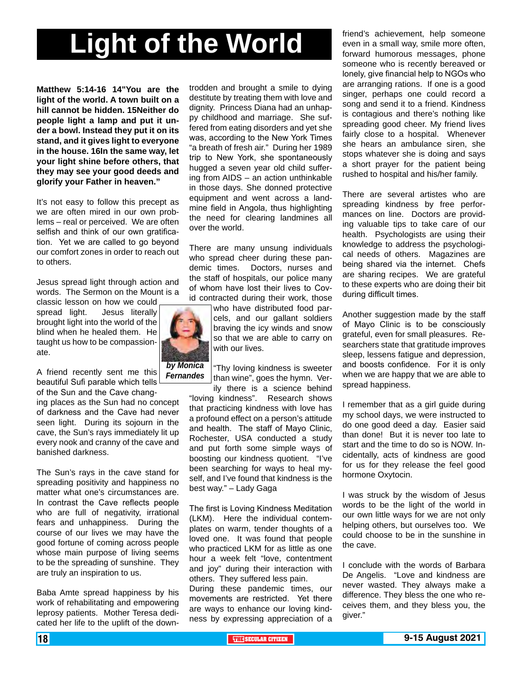# **Light of the World**

**Matthew 5:14-16 14"You are the light of the world. A town built on a hill cannot be hidden. 15Neither do people light a lamp and put it under a bowl. Instead they put it on its stand, and it gives light to everyone in the house. 16In the same way, let your light shine before others, that they may see your good deeds and glorify your Father in heaven."**

It's not easy to follow this precept as we are often mired in our own problems – real or perceived. We are often selfish and think of our own gratification. Yet we are called to go beyond our comfort zones in order to reach out to others.

Jesus spread light through action and words. The Sermon on the Mount is a

classic lesson on how we could spread light. Jesus literally brought light into the world of the blind when he healed them. He taught us how to be compassionate.

A friend recently sent me this beautiful Sufi parable which tells of the Sun and the Cave chang-*Fernandes*

ing places as the Sun had no concept of darkness and the Cave had never seen light. During its sojourn in the cave, the Sun's rays immediately lit up every nook and cranny of the cave and banished darkness.

The Sun's rays in the cave stand for spreading positivity and happiness no matter what one's circumstances are. In contrast the Cave reflects people who are full of negativity, irrational fears and unhappiness. During the course of our lives we may have the good fortune of coming across people whose main purpose of living seems to be the spreading of sunshine. They are truly an inspiration to us.

Baba Amte spread happiness by his work of rehabilitating and empowering leprosy patients. Mother Teresa dedicated her life to the uplift of the down-

trodden and brought a smile to dying destitute by treating them with love and dignity. Princess Diana had an unhappy childhood and marriage. She suffered from eating disorders and yet she was, according to the New York Times "a breath of fresh air." During her 1989 trip to New York, she spontaneously hugged a seven year old child suffering from AIDS – an action unthinkable in those days. She donned protective equipment and went across a landmine field in Angola, thus highlighting the need for clearing landmines all over the world.

There are many unsung individuals who spread cheer during these pandemic times. Doctors, nurses and the staff of hospitals, our police many of whom have lost their lives to Covid contracted during their work, those

who have distributed food parcels, and our gallant soldiers braving the icy winds and snow so that we are able to carry on with our lives.

"Thy loving kindness is sweeter than wine", goes the hymn. Ver-

ily there is a science behind "loving kindness". Research shows that practicing kindness with love has a profound effect on a person's attitude and health. The staff of Mayo Clinic, Rochester, USA conducted a study and put forth some simple ways of boosting our kindness quotient. "I've been searching for ways to heal myself, and I've found that kindness is the best way." – Lady Gaga

The first is Loving Kindness Meditation (LKM). Here the individual contemplates on warm, tender thoughts of a loved one. It was found that people who practiced LKM for as little as one hour a week felt "love, contentment and joy" during their interaction with others. They suffered less pain.

During these pandemic times, our movements are restricted. Yet there are ways to enhance our loving kindness by expressing appreciation of a

friend's achievement, help someone even in a small way, smile more often, forward humorous messages, phone someone who is recently bereaved or lonely, give financial help to NGOs who are arranging rations. If one is a good singer, perhaps one could record a song and send it to a friend. Kindness is contagious and there's nothing like spreading good cheer. My friend lives fairly close to a hospital. Whenever she hears an ambulance siren, she stops whatever she is doing and says a short prayer for the patient being rushed to hospital and his/her family.

There are several artistes who are spreading kindness by free performances on line. Doctors are providing valuable tips to take care of our health. Psychologists are using their knowledge to address the psychological needs of others. Magazines are being shared via the internet. Chefs are sharing recipes. We are grateful to these experts who are doing their bit during difficult times.

Another suggestion made by the staff of Mayo Clinic is to be consciously grateful, even for small pleasures. Researchers state that gratitude improves sleep, lessens fatigue and depression, and boosts confidence. For it is only when we are happy that we are able to spread happiness.

I remember that as a girl guide during my school days, we were instructed to do one good deed a day. Easier said than done! But it is never too late to start and the time to do so is NOW. Incidentally, acts of kindness are good for us for they release the feel good hormone Oxytocin.

I was struck by the wisdom of Jesus words to be the light of the world in our own little ways for we are not only helping others, but ourselves too. We could choose to be in the sunshine in the cave.

I conclude with the words of Barbara De Angelis. "Love and kindness are never wasted. They always make a difference. They bless the one who receives them, and they bless you, the giver."

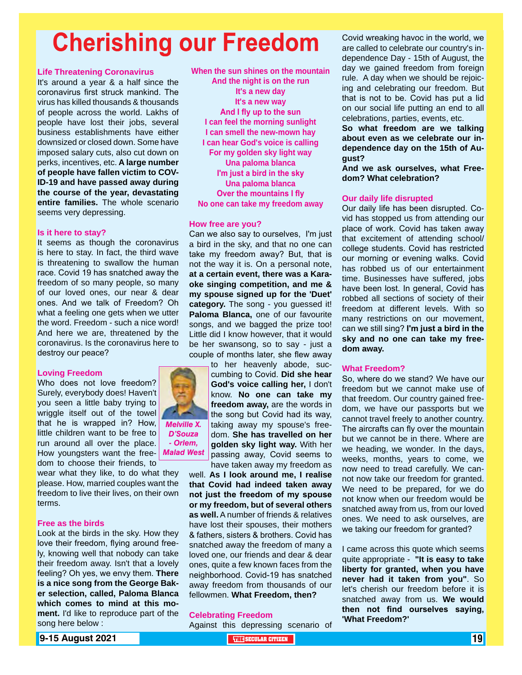# **Cherishing our Freedom**

#### **Life Threatening Coronavirus**

It's around a year & a half since the coronavirus first struck mankind. The virus has killed thousands & thousands of people across the world. Lakhs of people have lost their jobs, several business establishments have either downsized or closed down. Some have imposed salary cuts, also cut down on perks, incentives, etc. **A large number of people have fallen victim to COV-ID-19 and have passed away during the course of the year, devastating entire families.** The whole scenario seems very depressing.

#### **Is it here to stay?**

It seems as though the coronavirus is here to stay. In fact, the third wave is threatening to swallow the human race. Covid 19 has snatched away the freedom of so many people, so many of our loved ones, our near & dear ones. And we talk of Freedom? Oh what a feeling one gets when we utter the word. Freedom - such a nice word! And here we are, threatened by the coronavirus. Is the coronavirus here to destroy our peace?

#### **Loving Freedom**

Who does not love freedom? Surely, everybody does! Haven't you seen a little baby trying to wriggle itself out of the towel that he is wrapped in? How, little children want to be free to run around all over the place. How youngsters want the freedom to choose their friends, to



wear what they like, to do what they please. How, married couples want the freedom to live their lives, on their own terms.

#### **Free as the birds**

Look at the birds in the sky. How they love their freedom, flying around freely, knowing well that nobody can take their freedom away. Isn't that a lovely feeling? Oh yes, we envy them. **There is a nice song from the George Baker selection, called, Paloma Blanca which comes to mind at this moment.** I'd like to reproduce part of the song here below :

**When the sun shines on the mountain And the night is on the run It's a new day It's a new way And I fly up to the sun I can feel the morning sunlight I can smell the new-mown hay I can hear God's voice is calling For my golden sky light way Una paloma blanca I'm just a bird in the sky Una paloma blanca Over the mountains I fly**

**No one can take my freedom away**

#### **How free are you?**

Can we also say to ourselves, I'm just a bird in the sky, and that no one can take my freedom away? But, that is not the way it is. On a personal note, **at a certain event, there was a Karaoke singing competition, and me & my spouse signed up for the 'Duet' category.** The song - you guessed it! **Paloma Blanca,** one of our favourite songs, and we bagged the prize too! Little did I know however, that it would be her swansong, so to say - just a couple of months later, she flew away

> to her heavenly abode, succumbing to Covid. **Did she hear God's voice calling her,** I don't know. **No one can take my freedom away,** are the words in the song but Covid had its way, taking away my spouse's freedom. **She has travelled on her golden sky light way.** With her passing away, Covid seems to have taken away my freedom as

well. **As I look around me, I realise that Covid had indeed taken away not just the freedom of my spouse or my freedom, but of several others as well.** A number of friends & relatives have lost their spouses, their mothers & fathers, sisters & brothers. Covid has snatched away the freedom of many a loved one, our friends and dear & dear ones, quite a few known faces from the neighborhood. Covid-19 has snatched away freedom from thousands of our fellowmen. **What Freedom, then?**

#### **Celebrating Freedom**

Against this depressing scenario of

Covid wreaking havoc in the world, we are called to celebrate our country's independence Day - 15th of August, the day we gained freedom from foreign rule. A day when we should be rejoicing and celebrating our freedom. But that is not to be. Covid has put a lid on our social life putting an end to all celebrations, parties, events, etc.

**So what freedom are we talking about even as we celebrate our independence day on the 15th of August?** 

**And we ask ourselves, what Freedom? What celebration?**

#### **Our daily life disrupted**

Our daily life has been disrupted. Covid has stopped us from attending our place of work. Covid has taken away that excitement of attending school/ college students. Covid has restricted our morning or evening walks. Covid has robbed us of our entertainment time. Businesses have suffered, jobs have been lost. In general, Covid has robbed all sections of society of their freedom at different levels. With so many restrictions on our movement, can we still sing? **I'm just a bird in the sky and no one can take my freedom away.**

#### **What Freedom?**

So, where do we stand? We have our freedom but we cannot make use of that freedom. Our country gained freedom, we have our passports but we cannot travel freely to another country. The aircrafts can fly over the mountain but we cannot be in there. Where are we heading, we wonder. In the days, weeks, months, years to come, we now need to tread carefully. We cannot now take our freedom for granted. We need to be prepared, for we do not know when our freedom would be snatched away from us, from our loved ones. We need to ask ourselves, are we taking our freedom for granted?

I came across this quote which seems quite appropriate - **"It is easy to take liberty for granted, when you have never had it taken from you"**. So let's cherish our freedom before it is snatched away from us. **We would then not find ourselves saying, 'What Freedom?'**